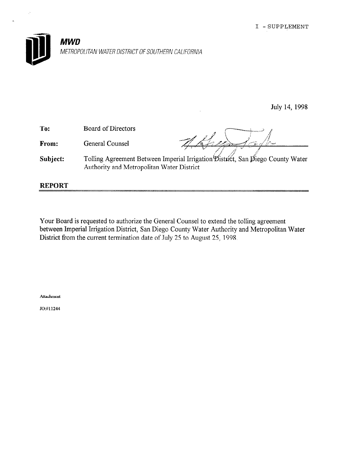

July 14, 1998

To: From: Subject: Board of Directors General Counsel Tolling Agreement Between Imperial Irrigation District, San Diego County Water Authority and Metropolitan Water District REPORT

Your Board is requested to authorize the General Counsel to extend the tolling agreement between Imperial Irrigation District, San Diego County Water Authority and Metropolitan Water District from the current termination date of July 25 to August 25, 1998.

Attachment

JO:#11244